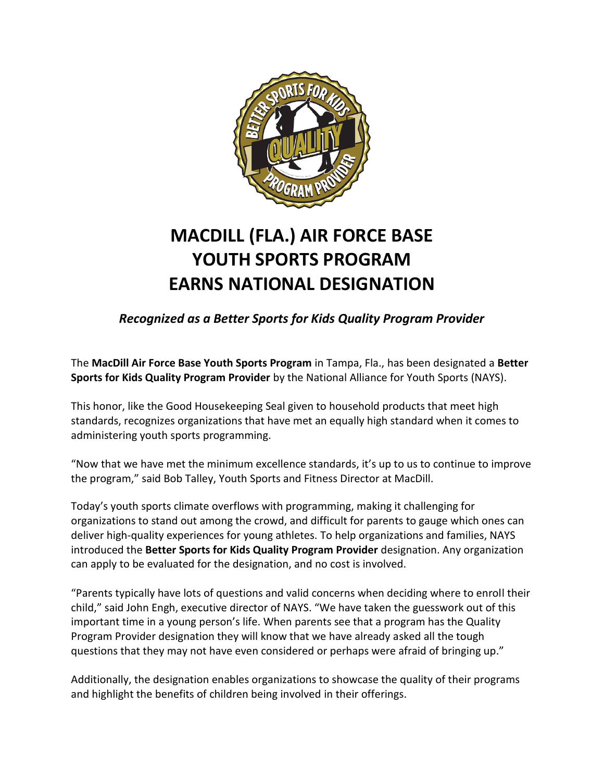

## **MACDILL (FLA.) AIR FORCE BASE YOUTH SPORTS PROGRAM EARNS NATIONAL DESIGNATION**

*Recognized as a Better Sports for Kids Quality Program Provider*

The **MacDill Air Force Base Youth Sports Program** in Tampa, Fla., has been designated a **Better Sports for Kids Quality Program Provider** by the National Alliance for Youth Sports (NAYS).

This honor, like the Good Housekeeping Seal given to household products that meet high standards, recognizes organizations that have met an equally high standard when it comes to administering youth sports programming.

"Now that we have met the minimum excellence standards, it's up to us to continue to improve the program," said Bob Talley, Youth Sports and Fitness Director at MacDill.

Today's youth sports climate overflows with programming, making it challenging for organizations to stand out among the crowd, and difficult for parents to gauge which ones can deliver high-quality experiences for young athletes. To help organizations and families, NAYS introduced the **Better Sports for Kids Quality Program Provider** designation. Any organization can apply to be evaluated for the designation, and no cost is involved.

"Parents typically have lots of questions and valid concerns when deciding where to enroll their child," said John Engh, executive director of NAYS. "We have taken the guesswork out of this important time in a young person's life. When parents see that a program has the Quality Program Provider designation they will know that we have already asked all the tough questions that they may not have even considered or perhaps were afraid of bringing up."

Additionally, the designation enables organizations to showcase the quality of their programs and highlight the benefits of children being involved in their offerings.